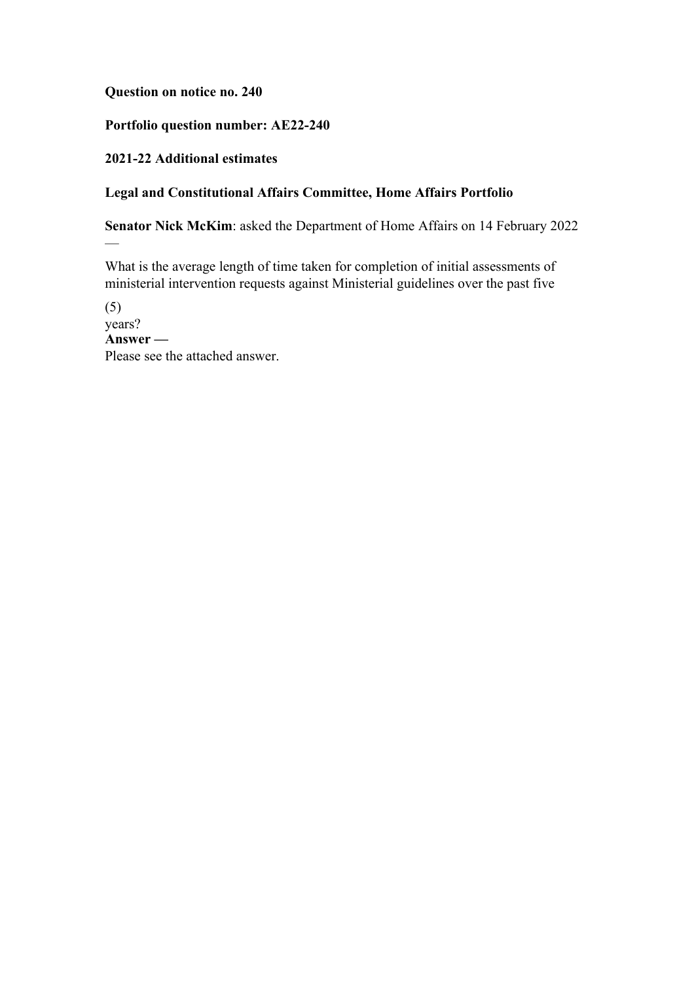## **Question on notice no. 240**

## **Portfolio question number: AE22-240**

## **2021-22 Additional estimates**

—

# **Legal and Constitutional Affairs Committee, Home Affairs Portfolio**

**Senator Nick McKim**: asked the Department of Home Affairs on 14 February 2022

What is the average length of time taken for completion of initial assessments of ministerial intervention requests against Ministerial guidelines over the past five

(5) years? **Answer —** Please see the attached answer.